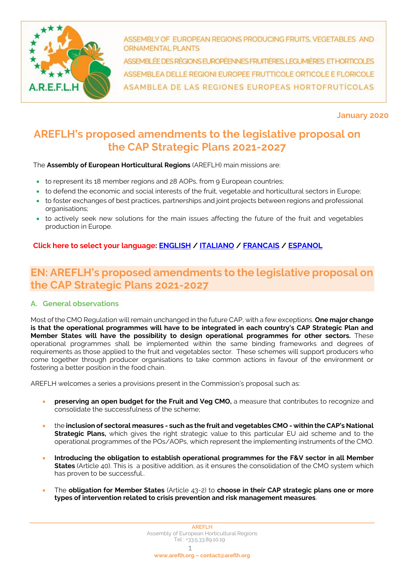

ASSEMBLY OF EUROPEAN REGIONS PRODUCING FRUITS, VEGETABLES AND **ORNAMENTAL PLANTS** 

ASSEMBLÉE DES RÉGIONS EUROPÉENNES FRUMÊRES, LEGUMIÈRES ET HORTICOLES ASSEMBLEA DELLE REGIONI EUROPEE FRUTTICOLE ORTICOLE E FLORICOLE ASAMBLEA DE LAS REGIONES EUROPEAS HORTOFRUTICOLAS

**January 2020**

# **AREFLH's proposed amendments to the legislative proposal on the CAP Strategic Plans 2021-2027**

The **Assembly of European Horticultural Regions** (AREFLH) main missions are:

- to represent its 18 member regions and 28 AOPs, from 9 European countries;
- to defend the economic and social interests of the fruit, vegetable and horticultural sectors in Europe;
- to foster exchanges of best practices, partnerships and joint projects between regions and professional organisations;
- to actively seek new solutions for the main issues affecting the future of the fruit and vegetables production in Europe.

## <span id="page-0-0"></span>**Click here to select your language: [ENGLISH](#page-0-0) / [ITALIANO](#page-6-0) [/ FRANCAIS](#page-12-0) / [ESPANOL](#page-18-0)**

# **EN: AREFLH's proposed amendments to the legislative proposal on the CAP Strategic Plans 2021-2027**

## **A. General observations**

Most of the CMO Regulation will remain unchanged in the future CAP, with a few exceptions. **One major change is that the operational programmes will have to be integrated in each country's CAP Strategic Plan and Member States will have the possibility to design operational programmes for other sectors.** These operational programmes shall be implemented within the same binding frameworks and degrees of requirements as those applied to the fruit and vegetables sector. These schemes will support producers who come together through producer organisations to take common actions in favour of the environment or fostering a better position in the food chain.

AREFLH welcomes a series a provisions present in the Commission's proposal such as:

- **preserving an open budget for the Fruit and Veg CMO,** a measure that contributes to recognize and consolidate the successfulness of the scheme;
- the **inclusion of sectoral measures - such as the fruit and vegetables CMO - within the CAP's National Strategic Plans,** which gives the right strategic value to this particular EU aid scheme and to the operational programmes of the POs/AOPs, which represent the implementing instruments of the CMO.
- **Introducing the obligation to establish operational programmes for the F&V sector in all Member States** (Article 40). This is a positive addition, as it ensures the consolidation of the CMO system which has proven to be successful..
- The **obligation for Member States** (Article 43-2) to **choose in their CAP strategic plans one or more types of intervention related to crisis prevention and risk management measures**.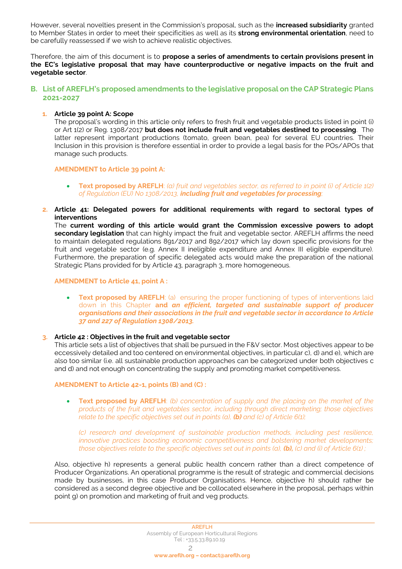However, several novelties present in the Commission's proposal, such as the **increased subsidiarity** granted to Member States in order to meet their specificities as well as its **strong environmental orientation**, need to be carefully reassessed if we wish to achieve realistic objectives.

Therefore, the aim of this document is to **propose a series of amendments to certain provisions present in the EC's legislative proposal that may have counterproductive or negative impacts on the fruit and vegetable sector**.

## **B. List of AREFLH's proposed amendments to the legislative proposal on the CAP Strategic Plans 2021-2027**

## **1. Article 39 point A: Scope**

The proposal's wording in this article only refers to fresh fruit and vegetable products listed in point (i) or Art 1(2) or Reg. 1308/2017 **but does not include fruit and vegetables destined to processing**. The latter represent important productions (tomato, green bean, pea) for several EU countries. Their Inclusion in this provision is therefore essential in order to provide a legal basis for the POs/APOs that manage such products.

**AMENDMENT to Article 39 point A:**

- **Text proposed by AREFLH**: *(a) fruit and vegetables sector, as referred to in point (i) of Article 1(2) of Regulation (EU) No 1308/2013, including fruit and vegetables for processing;*
- **2. Article 41: Delegated powers for additional requirements with regard to sectoral types of interventions**

The **current wording of this article would grant the Commission excessive powers to adopt secondary legislation** that can highly impact the fruit and vegetable sector. AREFLH affirms the need to maintain delegated regulations 891/2017 and 892/2017 which lay down specific provisions for the fruit and vegetable sector (e.g. Annex II ineligible expenditure and Annex III eligible expenditure). Furthermore, the preparation of specific delegated acts would make the preparation of the national Strategic Plans provided for by Article 43, paragraph 3, more homogeneous.

#### **AMENDMENT to Article 41, point A :**

• **Text proposed by AREFLH**: (a) ensuring the proper functioning of types of interventions laid down in this Chapter **and** *an efficient, targeted and sustainable support of producer organisations and their associations in the fruit and vegetable sector in accordance to Article 37 and 227 of Regulation 1308/2013.*

## **3. Article 42 : Objectives in the fruit and vegetable sector**

This article sets a list of objectives that shall be pursued in the F&V sector. Most objectives appear to be eccessively detailed and too centered on environmental objectives, in particular c), d) and e), which are also too similar (i.e. all sustainable production approaches can be categorized under both objectives c and d) and not enough on concentrating the supply and promoting market competitiveness.

#### **AMENDMENT to Article 42-1, points (B) and (C) :**

• **Text proposed by AREFLH**: *(b) concentration of supply and the placing on the market of the products of the fruit and vegetables sector, including through direct marketing; those objectives relate to the specific objectives set out in points (a), (b) and (c) of Article 6(1);*

*(c) research and development of sustainable production methods, including pest resilience, innovative practices boosting economic competitiveness and bolstering market developments; those objectives relate to the specific objectives set out in points (a), (b), (c) and (i) of Article 6(1) ;*

Also, objective h) represents a general public health concern rather than a direct competence of Producer Organizations. An operational programme is the result of strategic and commercial decisions made by businesses, in this case Producer Organisations. Hence, objective h) should rather be considered as a second degree objective and be collocated elsewhere in the proposal, perhaps within point g) on promotion and marketing of fruit and veg products.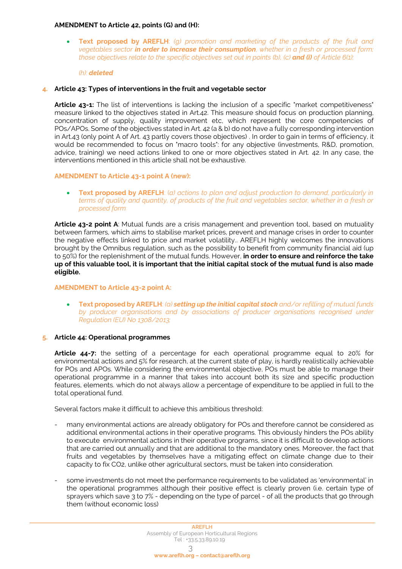## **AMENDMENT to Article 42, points (G) and (H):**

• **Text proposed by AREFLH**: *(g) promotion and marketing of the products of the fruit and vegetables sector in order to increase their consumption, whether in a fresh or processed form; those objectives relate to the specific objectives set out in points (b), (c) and (i) of Article 6(1);*

*(h): deleted*

#### **4. Article 43: Types of interventions in the fruit and vegetable sector**

Article 43-1: The list of interventions is lacking the inclusion of a specific "market competitiveness" measure linked to the objectives stated in Art.42. This measure should focus on production planning, concentration of supply, quality improvement etc, which represent the core competencies of POs/APOs. Some of the objectives stated in Art. 42 (a & b) do not have a fully corresponding intervention in Art.43 (only point A of Art. 43 partly covers those objectives) . In order to gain in terms of efficiency, it would be recommended to focus on "macro tools": for any objective (investments, R&D, promotion, advice, training) we need actions linked to one or more objectives stated in Art. 42. In any case, the interventions mentioned in this article shall not be exhaustive.

## **AMENDMENT to Article 43-1 point A (new):**

• **Text proposed by AREFLH**: (*a) actions to plan and adjust production to demand, particularly in terms of quality and quantity, of products of the fruit and vegetables sector, whether in a fresh or processed form*

**Article 43-2 point A**: Mutual funds are a crisis management and prevention tool, based on mutuality between farmers, which aims to stabilise market prices, prevent and manage crises in order to counter the negative effects linked to price and market volatility.. AREFLH highly welcomes the innovations brought by the Omnibus regulation, such as the possibility to benefit from community financial aid (up to 50%) for the replenishment of the mutual funds. However, **in order to ensure and reinforce the take up of this valuable tool, it is important that the initial capital stock of the mutual fund is also made eligible.**

#### **AMENDMENT to Article 43-2 point A:**

• **Text proposed by AREFLH**: *(a) setting up the initial capital stock and/or refilling of mutual funds by producer organisations and by associations of producer organisations recognised under Regulation (EU) No 1308/2013;*

#### **5. Article 44: Operational programmes**

**Article 44-7:** the setting of a percentage for each operational programme equal to 20% for environmental actions and 5% for research, at the current state of play, is hardly realistically achievable for POs and APOs. While considering the environmental objective, POs must be able to manage their operational programme in a manner that takes into account both its size and specific production features, elements. which do not always allow a percentage of expenditure to be applied in full to the total operational fund.

Several factors make it difficult to achieve this ambitious threshold:

- many environmental actions are already obligatory for POs and therefore cannot be considered as additional environmental actions in their operative programs. This obviously hinders the POs ability to execute environmental actions in their operative programs, since it is difficult to develop actions that are carried out annually and that are additional to the mandatory ones. Moreover, the fact that fruits and vegetables by themselves have a mitigating effect on climate change due to their capacity to fix CO2, unlike other agricultural sectors, must be taken into consideration.
- some investments do not meet the performance requirements to be validated as 'environmental' in the operational programmes although their positive effect is clearly proven (i.e. certain type of sprayers which save 3 to 7% - depending on the type of parcel - of all the products that go through them (without economic loss)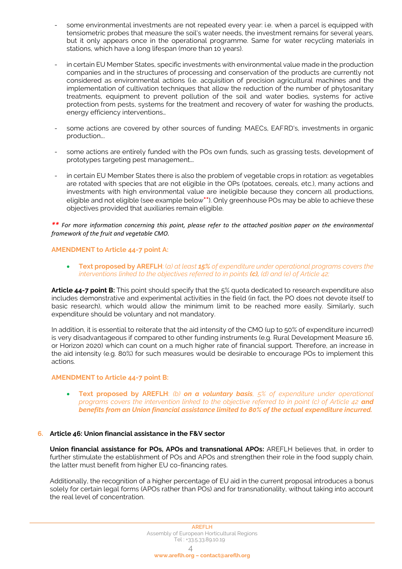- some environmental investments are not repeated every year: i.e. when a parcel is equipped with tensiometric probes that measure the soil's water needs, the investment remains for several years, but it only appears once in the operational programme. Same for water recycling materials in stations, which have a long lifespan (more than 10 years).
- in certain EU Member States, specific investments with environmental value made in the production companies and in the structures of processing and conservation of the products are currently not considered as environmental actions (i.e. acquisition of precision agricultural machines and the implementation of cultivation techniques that allow the reduction of the number of phytosanitary treatments, equipment to prevent pollution of the soil and water bodies, systems for active protection from pests, systems for the treatment and recovery of water for washing the products, energy efficiency interventions…
- some actions are covered by other sources of funding: MAECs, EAFRD's, investments in organic production….
- some actions are entirely funded with the POs own funds, such as grassing tests, development of prototypes targeting pest management….
- in certain EU Member States there is also the problem of vegetable crops in rotation: as vegetables are rotated with species that are not eligible in the OPs (potatoes, cereals, etc.), many actions and investments with high environmental value are ineligible because they concern all productions, eligible and not eligible (see example below**\*\***). Only greenhouse POs may be able to achieve these objectives provided that auxiliaries remain eligible.

## *\*\* For more information concerning this point, please refer to the attached position paper on the environmental framework of the fruit and vegetable CMO.*

## **AMENDMENT to Article 44-7 point A:**

• **Text proposed by AREFLH**: (*a) at least 15% of expenditure under operational programs covers the interventions linked to the objectives referred to in points (c), (d) and (e) of Article 42;*

**Article 44-7 point B:** This point should specify that the 5% quota dedicated to research expenditure also includes demonstrative and experimental activities in the field (in fact, the PO does not devote itself to basic research), which would allow the minimum limit to be reached more easily. Similarly, such expenditure should be voluntary and not mandatory.

In addition, it is essential to reiterate that the aid intensity of the CMO (up to 50% of expenditure incurred) is very disadvantageous if compared to other funding instruments (e.g. Rural Development Measure 16, or Horizon 2020) which can count on a much higher rate of financial support. Therefore, an increase in the aid intensity (e.g. 80%) for such measures would be desirable to encourage POs to implement this actions.

#### **AMENDMENT to Article 44-7 point B:**

• **Text proposed by AREFLH**: *(b) on a voluntary basis, 5% of expenditure under operational programs covers the intervention linked to the objective referred to in point (c) of Article 42 and benefits from an Union financial assistance limited to 80% of the actual expenditure incurred.*

## **6. Article 46: Union financial assistance in the F&V sector**

**Union financial assistance for POs, APOs and transnational APOs:** AREFLH believes that, in order to further stimulate the establishment of POs and APOs and strengthen their role in the food supply chain, the latter must benefit from higher EU co-financing rates.

Additionally, the recognition of a higher percentage of EU aid in the current proposal introduces a bonus solely for certain legal forms (APOs rather than POs) and for transnationality, without taking into account the real level of concentration.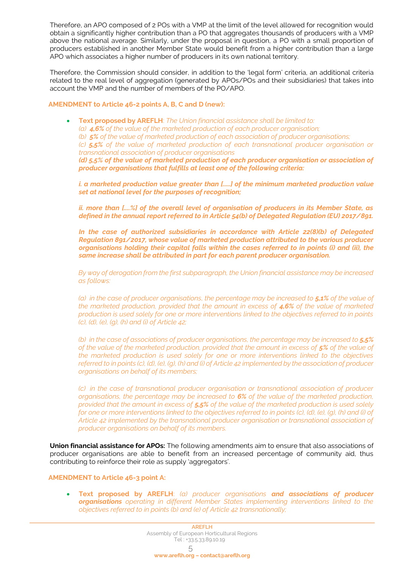Therefore, an APO composed of 2 POs with a VMP at the limit of the level allowed for recognition would obtain a significantly higher contribution than a PO that aggregates thousands of producers with a VMP above the national average. Similarly, under the proposal in question, a PO with a small proportion of producers established in another Member State would benefit from a higher contribution than a large APO which associates a higher number of producers in its own national territory.

Therefore, the Commission should consider, in addition to the 'legal form' criteria, an additional criteria related to the real level of aggregation (generated by APOs/POs and their subsidiaries) that takes into account the VMP and the number of members of the PO/APO.

## **AMENDMENT to Article 46-2 points A, B, C and D (new):**

• **Text proposed by AREFLH**: *The Union financial assistance shall be limited to: (a) 4,6% of the value of the marketed production of each producer organisation; (b) 5% of the value of marketed production of each association of producer organisations; (c) 5,5% of the value of marketed production of each transnational producer organisation or transnational association of producer organisations (d) 5,5% of the value of marketed production of each producer organisation or association of producer organisations that fulfills at least one of the following criteria:*

*i. a marketed production value greater than [.....] of the minimum marketed production value set at national level for the purposes of recognition;*

*ii. more than [....%] of the overall level of organisation of producers in its Member State, as defined in the annual report referred to in Article 54(b) of Delegated Regulation (EU) 2017/891.*

*In the case of authorized subsidiaries in accordance with Article 22(8)(b) of Delegated Regulation 891/2017, whose value of marketed production attributed to the various producer organisations holding their capital falls within the cases referred to in points (i) and (ii), the same increase shall be attributed in part for each parent producer organisation.*

*By way of derogation from the first subparagraph, the Union financial assistance may be increased as follows:* 

*(a) in the case of producer organisations, the percentage may be increased to 5,1% of the value of the marketed production, provided that the amount in excess of 4,6% of the value of marketed production is used solely for one or more interventions linked to the objectives referred to in points (c), (d), (e), (g), (h) and (i) of Article 42;* 

(b) in the case of associations of producer organisations, the percentage may be increased to **5.5%** *of the value of the marketed production, provided that the amount in excess of 5% of the value of the marketed production is used solely for one or more interventions linked to the objectives referred to in points (c), (d), (e), (g), (h) and (i) of Article 42 implemented by the association of producer organisations on behalf of its members;* 

*(c) in the case of transnational producer organisation or transnational association of producer organisations, the percentage may be increased to 6% of the value of the marketed production, provided that the amount in excess of 5,5% of the value of the marketed production is used solely for one or more interventions linked to the objectives referred to in points (c), (d), (e), (q), (h) and (i) of Article 42 implemented by the transnational producer organisation or transnational association of producer organisations on behalf of its members.* 

**Union financial assistance for APOs:** The following amendments aim to ensure that also associations of producer organisations are able to benefit from an increased percentage of community aid, thus contributing to reinforce their role as supply 'aggregators'.

## **AMENDMENT to Article 46-3 point A:**

• **Text proposed by AREFLH**: *(a) producer organisations and associations of producer organisations operating in different Member States implementing interventions linked to the objectives referred to in points (b) and (e) of Article 42 transnationally;*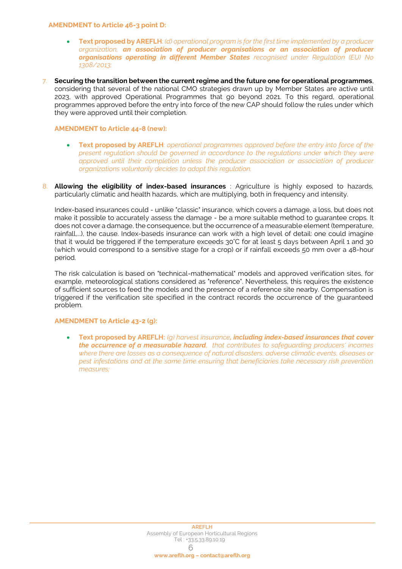#### **AMENDMENT to Article 46-3 point D:**

- **Text proposed by AREFLH**: *(d) operational program is for the first time implemented by a producer organization, an association of producer organisations or an association of producer organisations operating in different Member States recognised under Regulation (EU) No 1308/2013;*
- 7. **Securing the transition between the current regime and the future one for operational programmes**, considering that several of the national CMO strategies drawn up by Member States are active until 2023, with approved Operational Programmes that go beyond 2021. To this regard, operational programmes approved before the entry into force of the new CAP should follow the rules under which they were approved until their completion.

## **AMENDMENT to Article 44-8 (new):**

- **Text proposed by AREFLH**: *operational programmes approved before the entry into force of the present regulation should be governed in accordance to the regulations under which they were approved until their completion unless the producer association or association of producer organizations voluntarily decides to adopt this regulation.*
- 8. **Allowing the eligibility of index-based insurances** : Agriculture is highly exposed to hazards, particularly climatic and health hazards, which are multiplying, both in frequency and intensity.

Index-based insurances could - unlike "classic" insurance, which covers a damage, a loss, but does not make it possible to accurately assess the damage - be a more suitable method to guarantee crops. It does not cover a damage, the consequence, but the occurrence of a measurable element (temperature, rainfall,...), the cause. Index-baseds insurance can work with a high level of detail: one could imagine that it would be triggered if the temperature exceeds 30°C for at least 5 days between April 1 and 30 (which would correspond to a sensitive stage for a crop) or if rainfall exceeds 50 mm over a 48-hour period.

The risk calculation is based on "technical-mathematical" models and approved verification sites, for example, meteorological stations considered as "reference". Nevertheless, this requires the existence of sufficient sources to feed the models and the presence of a reference site nearby. Compensation is triggered if the verification site specified in the contract records the occurrence of the guaranteed problem.

#### **AMENDMENT to Article 43-2 (g):**

• **Text proposed by AREFLH:** *(g) harvest insurance, including index-based insurances that cover the occurrence of a measurable hazard, that contributes to safeguarding producers' incomes where there are losses as a consequence of natural disasters, adverse climatic events, diseases or pest infestations and at the same time ensuring that beneficiaries take necessary risk prevention measures;*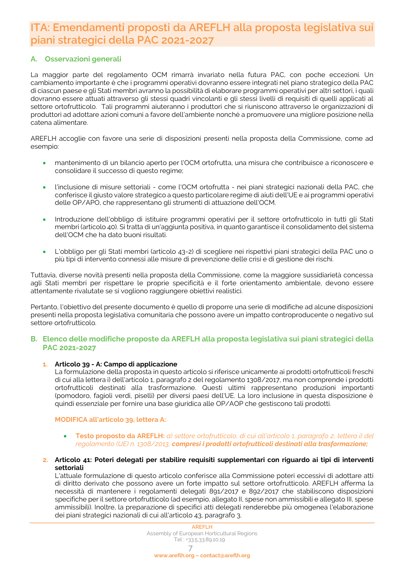# <span id="page-6-0"></span>**ITA: Emendamenti proposti da AREFLH alla proposta legislativa sui piani strategici della PAC 2021-2027**

## **A. Osservazioni generali**

La maggior parte del regolamento OCM rimarrà invariato nella futura PAC, con poche eccezioni. Un cambiamento importante è che i programmi operativi dovranno essere integrati nel piano strategico della PAC di ciascun paese e gli Stati membri avranno la possibilità di elaborare programmi operativi per altri settori, i quali dovranno essere attuati attraverso gli stessi quadri vincolanti e gli stessi livelli di requisiti di quelli applicati al settore ortofrutticolo. Tali programmi aiuteranno i produttori che si riuniscono attraverso le organizzazioni di produttori ad adottare azioni comuni a favore dell'ambiente nonché a promuovere una migliore posizione nella catena alimentare.

AREFLH accoglie con favore una serie di disposizioni presenti nella proposta della Commissione, come ad esempio:

- mantenimento di un bilancio aperto per l'OCM ortofrutta, una misura che contribuisce a riconoscere e consolidare il successo di questo regime;
- l'inclusione di misure settoriali come l'OCM ortofrutta nei piani strategici nazionali della PAC, che conferisce il giusto valore strategico a questo particolare regime di aiuti dell'UE e ai programmi operativi delle OP/APO, che rappresentano gli strumenti di attuazione dell'OCM.
- Introduzione dell'obbligo di istituire programmi operativi per il settore ortofrutticolo in tutti gli Stati membri (articolo 40). Si tratta di un'aggiunta positiva, in quanto garantisce il consolidamento del sistema dell'OCM che ha dato buoni risultati.
- L'obbligo per gli Stati membri (articolo 43-2) di scegliere nei rispettivi piani strategici della PAC uno o più tipi di intervento connessi alle misure di prevenzione delle crisi e di gestione dei rischi.

Tuttavia, diverse novità presenti nella proposta della Commissione, come la maggiore sussidiarietà concessa agli Stati membri per rispettare le proprie specificità e il forte orientamento ambientale, devono essere attentamente rivalutate se si vogliono raggiungere obiettivi realistici.

Pertanto, l'obiettivo del presente documento è quello di proporre una serie di modifiche ad alcune disposizioni presenti nella proposta legislativa comunitaria che possono avere un impatto controproducente o negativo sul settore ortofrutticolo.

## **B. Elenco delle modifiche proposte da AREFLH alla proposta legislativa sui piani strategici della PAC 2021-2027**

## **1. Articolo 39 - A: Campo di applicazione**

La formulazione della proposta in questo articolo si riferisce unicamente ai prodotti ortofrutticoli freschi di cui alla lettera i) dell'articolo 1, paragrafo 2 del regolamento 1308/2017, ma non comprende i prodotti ortofrutticoli destinati alla trasformazione. Questi ultimi rappresentano produzioni importanti (pomodoro, fagioli verdi, piselli) per diversi paesi dell'UE. La loro inclusione in questa disposizione è quindi essenziale per fornire una base giuridica alle OP/AOP che gestiscono tali prodotti.

**MODIFICA all'articolo 39, lettera A:**

- **Testo proposto da AREFLH:** *a) settore ortofrutticolo, di cui all'articolo 1, paragrafo 2, lettera i) del regolamento (UE) n. 1308/2013, compresi i prodotti ortofrutticoli destinati alla trasformazione;*
- **2. Articolo 41: Poteri delegati per stabilire requisiti supplementari con riguardo ai tipi di interventi settoriali**

L'attuale formulazione di questo articolo conferisce alla Commissione poteri eccessivi di adottare atti di diritto derivato che possono avere un forte impatto sul settore ortofrutticolo. AREFLH afferma la necessità di mantenere i regolamenti delegati 891/2017 e 892/2017 che stabiliscono disposizioni specifiche per il settore ortofrutticolo (ad esempio, allegato II, spese non ammissibili e allegato III, spese ammissibili). Inoltre, la preparazione di specifici atti delegati renderebbe più omogenea l'elaborazione dei piani strategici nazionali di cui all'articolo 43, paragrafo 3.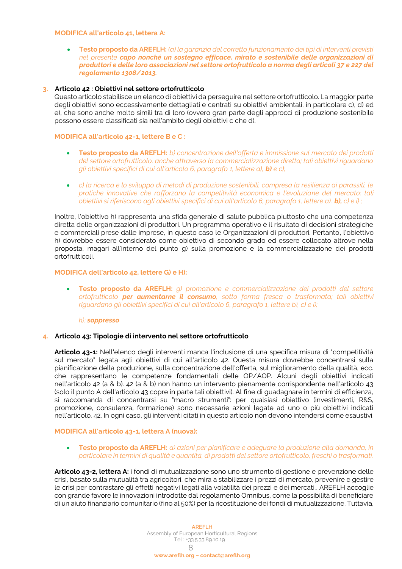#### **MODIFICA all'articolo 41, lettera A:**

• **Testo proposto da AREFLH:** *(a) la garanzia del corretto funzionamento dei tipi di interventi previsti nel presente capo nonché un sostegno efficace, mirato e sostenibile delle organizzazioni di produttori e delle loro associazioni nel settore ortofrutticolo a norma degli articoli 37 e 227 del regolamento 1308/2013.*

## **3. Articolo 42 : Obiettivi nel settore ortofrutticolo**

Questo articolo stabilisce un elenco di obiettivi da perseguire nel settore ortofrutticolo. La maggior parte degli obiettivi sono eccessivamente dettagliati e centrati su obiettivi ambientali, in particolare c), d) ed e), che sono anche molto simili tra di loro (ovvero gran parte degli approcci di produzione sostenibile possono essere classificati sia nell'ambito degli obiettivi c che d).

#### **MODIFICA all'articolo 42-1, lettere B e C :**

- **Testo proposto da AREFLH:** *b) concentrazione dell'offerta e immissione sul mercato dei prodotti del settore ortofrutticolo, anche attraverso la commercializzazione diretta; tali obiettivi riguardano gli obiettivi specifici di cui all'articolo 6, paragrafo 1, lettere a), b) e c);*
- *c) la ricerca e lo sviluppo di metodi di produzione sostenibili, compresa la resilienza ai parassiti, le pratiche innovative che rafforzano la competitività economica e l'evoluzione del mercato; tali obiettivi si riferiscono agli obiettivi specifici di cui all'articolo 6, paragrafo 1, lettere a), b), c) e i) ;*

Inoltre, l'obiettivo h) rappresenta una sfida generale di salute pubblica piuttosto che una competenza diretta delle organizzazioni di produttori. Un programma operativo è il risultato di decisioni strategiche e commerciali prese dalle imprese, in questo caso le Organizzazioni di produttori. Pertanto, l'obiettivo h) dovrebbe essere considerato come obiettivo di secondo grado ed essere collocato altrove nella proposta, magari all'interno del punto g) sulla promozione e la commercializzazione dei prodotti ortofrutticoli.

#### **MODIFICA dell'articolo 42, lettere G) e H):**

• **Testo proposto da AREFLH:** *g) promozione e commercializzazione dei prodotti del settore ortofrutticolo per aumentarne il consumo, sotto forma fresca o trasformata; tali obiettivi riguardano gli obiettivi specifici di cui all'articolo 6, paragrafo 1, lettere b), c) e i);*

#### *h): soppresso*

#### **4. Articolo 43: Tipologie di intervento nel settore ortofrutticolo**

**Articolo 43-1:** Nell'elenco degli interventi manca l'inclusione di una specifica misura di "competitività sul mercato" legata agli obiettivi di cui all'articolo 42. Questa misura dovrebbe concentrarsi sulla pianificazione della produzione, sulla concentrazione dell'offerta, sul miglioramento della qualità, ecc. che rappresentano le competenze fondamentali delle OP/AOP. Alcuni degli obiettivi indicati nell'articolo 42 (a & b). 42 (a & b) non hanno un intervento pienamente corrispondente nell'articolo 43 (solo il punto A dell'articolo 43 copre in parte tali obiettivi). Al fine di guadagnare in termini di efficienza, si raccomanda di concentrarsi su "macro strumenti": per qualsiasi obiettivo (investimenti, R&S, promozione, consulenza, formazione) sono necessarie azioni legate ad uno o più obiettivi indicati nell'articolo. 42. In ogni caso, gli interventi citati in questo articolo non devono intendersi come esaustivi.

#### **MODIFICA all'articolo 43-1, lettera A (nuova):**

• **Testo proposto da AREFLH:** *a) azioni per pianificare e adeguare la produzione alla domanda, in particolare in termini di qualità e quantità, di prodotti del settore ortofrutticolo, freschi o trasformati.*

**Articolo 43-2, lettera A:** i fondi di mutualizzazione sono uno strumento di gestione e prevenzione delle crisi, basato sulla mutualità tra agricoltori, che mira a stabilizzare i prezzi di mercato, prevenire e gestire le crisi per contrastare gli effetti negativi legati alla volatilità dei prezzi e dei mercati.. AREFLH accoglie con grande favore le innovazioni introdotte dal regolamento Omnibus, come la possibilità di beneficiare di un aiuto finanziario comunitario (fino al 50%) per la ricostituzione dei fondi di mutualizzazione. Tuttavia,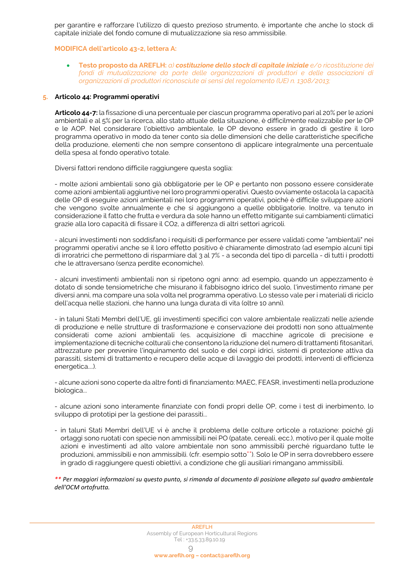per garantire e rafforzare l'utilizzo di questo prezioso strumento, è importante che anche lo stock di capitale iniziale del fondo comune di mutualizzazione sia reso ammissibile.

#### **MODIFICA dell'articolo 43-2, lettera A:**

• **Testo proposto da AREFLH:** *a) costituzione dello stock di capitale iniziale e/o ricostituzione dei fondi di mutualizzazione da parte delle organizzazioni di produttori e delle associazioni di organizzazioni di produttori riconosciute ai sensi del regolamento (UE) n. 1308/2013;*

## **5. Articolo 44: Programmi operativi**

**Articolo 44-7:** la fissazione di una percentuale per ciascun programma operativo pari al 20% per le azioni ambientali e al 5% per la ricerca, allo stato attuale della situazione, è difficilmente realizzabile per le OP e le AOP. Nel considerare l'obiettivo ambientale, le OP devono essere in grado di gestire il loro programma operativo in modo da tener conto sia delle dimensioni che delle caratteristiche specifiche della produzione, elementi che non sempre consentono di applicare integralmente una percentuale della spesa al fondo operativo totale.

Diversi fattori rendono difficile raggiungere questa soglia:

- molte azioni ambientali sono già obbligatorie per le OP e pertanto non possono essere considerate come azioni ambientali aggiuntive nei loro programmi operativi. Questo ovviamente ostacola la capacità delle OP di eseguire azioni ambientali nei loro programmi operativi, poiché è difficile sviluppare azioni che vengono svolte annualmente e che si aggiungono a quelle obbligatorie. Inoltre, va tenuto in considerazione il fatto che frutta e verdura da sole hanno un effetto mitigante sui cambiamenti climatici grazie alla loro capacità di fissare il CO2, a differenza di altri settori agricoli.

- alcuni investimenti non soddisfano i requisiti di performance per essere validati come "ambientali" nei programmi operativi anche se il loro effetto positivo è chiaramente dimostrato (ad esempio alcuni tipi di irroratrici che permettono di risparmiare dal 3 al 7% - a seconda del tipo di parcella - di tutti i prodotti che le attraversano (senza perdite economiche).

- alcuni investimenti ambientali non si ripetono ogni anno: ad esempio, quando un appezzamento è dotato di sonde tensiometriche che misurano il fabbisogno idrico del suolo, l'investimento rimane per diversi anni, ma compare una sola volta nel programma operativo. Lo stesso vale per i materiali di riciclo dell'acqua nelle stazioni, che hanno una lunga durata di vita (oltre 10 anni).

- in taluni Stati Membri dell'UE, gli investimenti specifici con valore ambientale realizzati nelle aziende di produzione e nelle strutture di trasformazione e conservazione dei prodotti non sono attualmente considerati come azioni ambientali (es. acquisizione di macchine agricole di precisione e implementazione di tecniche colturali che consentono la riduzione del numero di trattamenti fitosanitari, attrezzature per prevenire l'inquinamento del suolo e dei corpi idrici, sistemi di protezione attiva da parassiti, sistemi di trattamento e recupero delle acque di lavaggio dei prodotti, interventi di efficienza energetica....).

- alcune azioni sono coperte da altre fonti di finanziamento: MAEC, FEASR, investimenti nella produzione biologica...

- alcune azioni sono interamente finanziate con fondi propri delle OP, come i test di inerbimento, lo sviluppo di prototipi per la gestione dei parassiti...

- in taluni Stati Membri dell'UE vi è anche il problema delle colture orticole a rotazione: poiché gli ortaggi sono ruotati con specie non ammissibili nei PO (patate, cereali, ecc.), motivo per il quale molte azioni e investimenti ad alto valore ambientale non sono ammissibili perché riguardano tutte le produzioni, ammissibili e non ammissibili. (cfr. esempio sotto\*\*). Solo le OP in serra dovrebbero essere in grado di raggiungere questi obiettivi, a condizione che gli ausiliari rimangano ammissibili.

*\*\* Per maggiori informazioni su questo punto, si rimanda al documento di posizione allegato sul quadro ambientale dell'OCM ortofrutta.*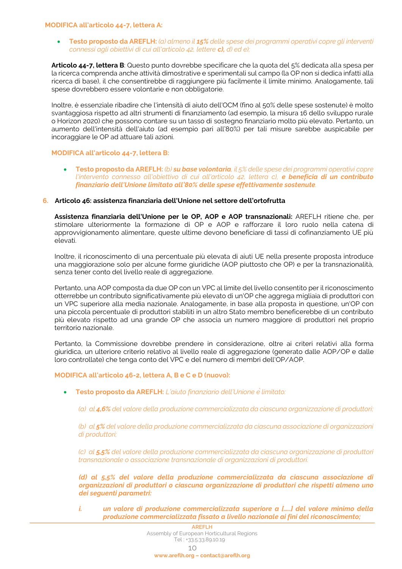#### **MODIFICA all'articolo 44-7, lettera A:**

• **Testo proposto da AREFLH:** *(a) almeno il 15% delle spese dei programmi operativi copre gli interventi connessi agli obiettivi di cui all'articolo 42, lettere c), d) ed e);*

**Articolo 44-7, lettera B**: Questo punto dovrebbe specificare che la quota del 5% dedicata alla spesa per la ricerca comprenda anche attività dimostrative e sperimentali sul campo (la OP non si dedica infatti alla ricerca di base), il che consentirebbe di raggiungere più facilmente il limite minimo. Analogamente, tali spese dovrebbero essere volontarie e non obbligatorie.

Inoltre, è essenziale ribadire che l'intensità di aiuto dell'OCM (fino al 50% delle spese sostenute) è molto svantaggiosa rispetto ad altri strumenti di finanziamento (ad esempio, la misura 16 dello sviluppo rurale o Horizon 2020) che possono contare su un tasso di sostegno finanziario molto più elevato. Pertanto, un aumento dell'intensità dell'aiuto (ad esempio pari all'80%) per tali misure sarebbe auspicabile per incoraggiare le OP ad attuare tali azioni.

#### **MODIFICA all'articolo 44-7, lettera B:**

• **Testo proposto da AREFLH:** *(b) su base volontaria, il 5% delle spese dei programmi operativi copre l'intervento connesso all'obiettivo di cui all'articolo 42, lettera c), e beneficia di un contributo finanziario dell'Unione limitato all'80% delle spese effettivamente sostenute.*

## **6. Articolo 46: assistenza finanziaria dell'Unione nel settore dell'ortofrutta**

**Assistenza finanziaria dell'Unione per le OP, AOP e AOP transnazionali:** AREFLH ritiene che, per stimolare ulteriormente la formazione di OP e AOP e rafforzare il loro ruolo nella catena di approvvigionamento alimentare, queste ultime devono beneficiare di tassi di cofinanziamento UE più elevati.

Inoltre, il riconoscimento di una percentuale più elevata di aiuti UE nella presente proposta introduce una maggiorazione solo per alcune forme giuridiche (AOP piuttosto che OP) e per la transnazionalità, senza tener conto del livello reale di aggregazione.

Pertanto, una AOP composta da due OP con un VPC al limite del livello consentito per il riconoscimento otterrebbe un contributo significativamente più elevato di un'OP che aggrega migliaia di produttori con un VPC superiore alla media nazionale. Analogamente, in base alla proposta in questione, un'OP con una piccola percentuale di produttori stabiliti in un altro Stato membro beneficerebbe di un contributo più elevato rispetto ad una grande OP che associa un numero maggiore di produttori nel proprio territorio nazionale.

Pertanto, la Commissione dovrebbe prendere in considerazione, oltre ai criteri relativi alla forma giuridica, un ulteriore criterio relativo al livello reale di aggregazione (generato dalle AOP/OP e dalle loro controllate) che tenga conto del VPC e del numero di membri dell'OP/AOP.

## **MODIFICA all'articolo 46-2, lettera A, B e C e D (nuovo):**

- **Testo proposto da AREFLH:** *L'aiuto finanziario dell'Unione èlimitato:* 
	- *(a) al 4,6% del valore della produzione commercializzata da ciascuna organizzazione di produttori;*

*(b) al 5% del valore della produzione commercializzata da ciascuna associazione di organizzazioni di produttori;* 

*(c) al 5,5% del valore della produzione commercializzata da ciascuna organizzazione di produttori transnazionale o associazione transnazionale di organizzazioni di produttori.* 

*(d) al 5,5% del valore della produzione commercializzata da ciascuna associazione di organizzazioni di produttori o ciascuna organizzazione di produttori che rispetti almeno uno dei seguenti parametri:*

*i. un valore di produzione commercializzata superiore a […..] del valore minimo della produzione commercializzata fissato a livello nazionale ai fini del riconoscimento;*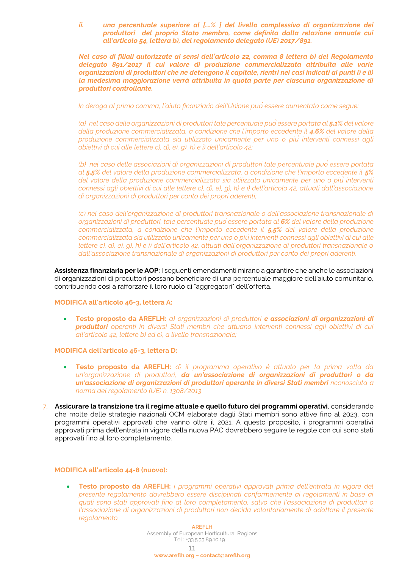*ii. una percentuale superiore al [….% ] del livello complessivo di organizzazione dei produttori del proprio Stato membro, come definita dalla relazione annuale cui all'articolo 54, lettera b), del regolamento delegato (UE) 2017/891.*

*Nel caso di filiali autorizzate ai sensi dell'articolo 22, comma 8 lettera b) del Regolamento delegato 891/2017 il cui valore di produzione commercializzata attribuita alle varie organizzazioni di produttori che ne detengono il capitale, rientri nei casi indicati ai punti i) e ii) la medesima maggiorazione verrà attribuita in quota parte per ciascuna organizzazione di produttori controllante.*

*In deroga al primo comma, l'aiuto finanziario dell'Unione puòessere aumentato come segue:* 

*(a) nel caso delle organizzazioni di produttori tale percentuale puòessere portata al 5,1% del valore della produzione commercializzata, a condizione che l'importo eccedente il 4.6% del valore della produzione commercializzata sia utilizzato unicamente per uno o più interventi connessi agli obiettivi di cui alle lettere c), d), e), g), h) e i) dell'articolo 42;* 

*(b) nel caso delle associazioni di organizzazioni di produttori tale percentuale puòessere portata al 5,5% del valore della produzione commercializzata, a condizione che l'importo eccedente il 5% del valore della produzione commercializzata sia utilizzato unicamente per uno o più interventi connessi agli obiettivi di cui alle lettere c), d), e), g), h) e i) dell'articolo 42, attuati dall'associazione di organizzazioni di produttori per conto dei propri aderenti;* 

*(c) nel caso dell'organizzazione di produttori transnazionale o dell'associazione transnazionale di organizzazioni di produttori, tale percentuale puòessere portata al 6% del valore della produzione commercializzata, a condizione che l'importo eccedente il 5,5% del valore della produzione commercializzata sia utilizzato unicamente per uno o piùinterventi connessi agli obiettivi di cui alle lettere c), d), e), g), h) e i) dell'articolo 42, attuati dall'organizzazione di produttori transnazionale o dall'associazione transnazionale di organizzazioni di produttori per conto dei propri aderenti.* 

**Assistenza finanziaria per le AOP:** I seguenti emendamenti mirano a garantire che anche le associazioni di organizzazioni di produttori possano beneficiare di una percentuale maggiore dell'aiuto comunitario, contribuendo così a rafforzare il loro ruolo di "aggregatori" dell'offerta.

#### **MODIFICA all'articolo 46-3, lettera A:**

• **Testo proposto da AREFLH:** *a) organizzazioni di produttori e associazioni di organizzazioni di produttori operanti in diversi Stati membri che attuano interventi connessi agli obiettivi di cui all'articolo 42, lettere b) ed e), a livello transnazionale;*

#### **MODIFICA dell'articolo 46-3, lettera D:**

- **Testo proposto da AREFLH:** *d) il programma operativo è attuato per la prima volta da un'organizzazione di produttori, da un'associazione di organizzazioni di produttori o da un'associazione di organizzazioni di produttori operante in diversi Stati membri riconosciuta a norma del regolamento (UE) n. 1308/2013*
- 7. **Assicurare la transizione tra il regime attuale e quello futuro dei programmi operativi**, considerando che molte delle strategie nazionali OCM elaborate dagli Stati membri sono attive fino al 2023, con programmi operativi approvati che vanno oltre il 2021. A questo proposito, i programmi operativi approvati prima dell'entrata in vigore della nuova PAC dovrebbero seguire le regole con cui sono stati approvati fino al loro completamento.

#### **MODIFICA all'articolo 44-8 (nuovo):**

• **Testo proposto da AREFLH:** *i programmi operativi approvati prima dell'entrata in vigore del presente regolamento dovrebbero essere disciplinati conformemente ai regolamenti in base ai quali sono stati approvati fino al loro completamento, salvo che l'associazione di produttori o l'associazione di organizzazioni di produttori non decida volontariamente di adottare il presente regolamento.*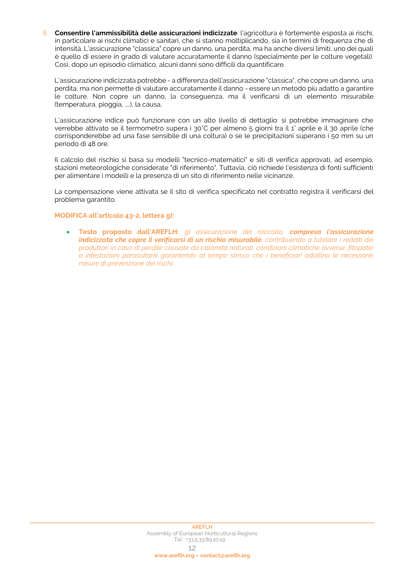8. **Consentire l'ammissibilità delle assicurazioni indicizzate**: l'agricoltura è fortemente esposta ai rischi, in particolare ai rischi climatici e sanitari, che si stanno moltiplicando, sia in termini di frequenza che di intensità. L'assicurazione "classica" copre un danno, una perdita, ma ha anche diversi limiti, uno dei quali è quello di essere in grado di valutare accuratamente il danno (specialmente per le colture vegetali). Così, dopo un episodio climatico, alcuni danni sono difficili da quantificare.

L'assicurazione indicizzata potrebbe - a differenza dell'assicurazione "classica", che copre un danno, una perdita, ma non permette di valutare accuratamente il danno - essere un metodo più adatto a garantire le colture. Non copre un danno, la conseguenza, ma il verificarsi di un elemento misurabile (temperatura, pioggia, ....), la causa.

L'assicurazione indice può funzionare con un alto livello di dettaglio: si potrebbe immaginare che verrebbe attivato se il termometro supera i 30°C per almeno 5 giorni tra il 1° aprile e il 30 aprile (che corrisponderebbe ad una fase sensibile di una coltura) o se le precipitazioni superano i 50 mm su un periodo di 48 ore.

Il calcolo del rischio si basa su modelli "tecnico-matematici" e siti di verifica approvati, ad esempio, stazioni meteorologiche considerate "di riferimento". Tuttavia, ciò richiede l'esistenza di fonti sufficienti per alimentare i modelli e la presenza di un sito di riferimento nelle vicinanze.

La compensazione viene attivata se il sito di verifica specificato nel contratto registra il verificarsi del problema garantito.

## **MODIFICA all'articolo 43-2, lettera g):**

• **Testo proposto dall'AREFLH:** *g) assicurazione del raccolto, compresa l'assicurazione indicizzata che copre il verificarsi di un rischio misurabile, contribuendo a tutelare i redditi dei produttori in caso di perdite causate da calamità naturali, condizioni climatiche avverse, fitopatie o infestazioni parassitarie garantendo al tempo stesso che i beneficiari adottino le necessarie misure di prevenzione dei rischi;*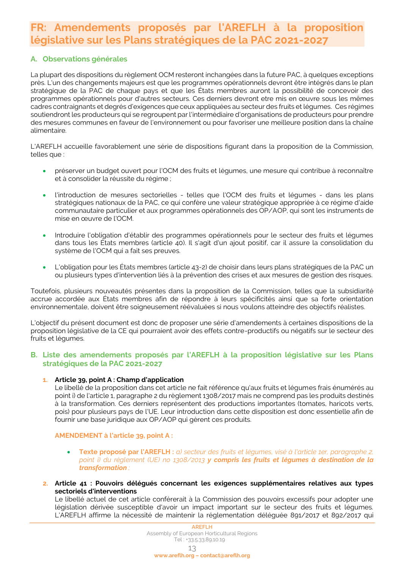# <span id="page-12-0"></span>**FR: Amendements proposés par l'AREFLH à la proposition législative sur les Plans stratégiques de la PAC 2021-2027**

## **A. Observations générales**

La plupart des dispositions du règlement OCM resteront inchangées dans la future PAC, à quelques exceptions près. L'un des changements majeurs est que les programmes opérationnels devront être intégrés dans le plan stratégique de la PAC de chaque pays et que les États membres auront la possibilité de concevoir des programmes opérationnels pour d'autres secteurs. Ces derniers devront etre mis en œuvre sous les mêmes cadres contraignants et degrés d'exigences que ceux appliquées au secteur des fruits et légumes. Ces régimes soutiendront les producteurs qui se regroupent par l'intermédiaire d'organisations de producteurs pour prendre des mesures communes en faveur de l'environnement ou pour favoriser une meilleure position dans la chaîne alimentaire.

L'AREFLH accueille favorablement une série de dispositions figurant dans la proposition de la Commission, telles que :

- préserver un budget ouvert pour l'OCM des fruits et légumes, une mesure qui contribue à reconnaître et à consolider la réussite du régime ;
- l'introduction de mesures sectorielles telles que l'OCM des fruits et légumes dans les plans stratégiques nationaux de la PAC, ce qui confère une valeur stratégique appropriée à ce régime d'aide communautaire particulier et aux programmes opérationnels des OP/AOP, qui sont les instruments de mise en œuvre de l'OCM.
- Introduire l'obligation d'établir des programmes opérationnels pour le secteur des fruits et légumes dans tous les États membres (article 40). Il s'agit d'un ajout positif, car il assure la consolidation du système de l'OCM qui a fait ses preuves.
- L'obligation pour les États membres (article 43-2) de choisir dans leurs plans stratégiques de la PAC un ou plusieurs types d'intervention liés à la prévention des crises et aux mesures de gestion des risques.

Toutefois, plusieurs nouveautés présentes dans la proposition de la Commission, telles que la subsidiarité accrue accordée aux États membres afin de répondre à leurs spécificités ainsi que sa forte orientation environnementale, doivent être soigneusement réévaluées si nous voulons atteindre des objectifs réalistes.

L'objectif du présent document est donc de proposer une série d'amendements à certaines dispositions de la proposition législative de la CE qui pourraient avoir des effets contre-productifs ou négatifs sur le secteur des fruits et légumes.

## **B. Liste des amendements proposés par l'AREFLH à la proposition législative sur les Plans stratégiques de la PAC 2021-2027**

## **1. Article 39, point A : Champ d'application**

Le libellé de la proposition dans cet article ne fait référence qu'aux fruits et légumes frais énumérés au point i) de l'article 1, paragraphe 2 du règlement 1308/2017 mais ne comprend pas les produits destinés à la transformation. Ces derniers représentent des productions importantes (tomates, haricots verts, pois) pour plusieurs pays de l'UE. Leur introduction dans cette disposition est donc essentielle afin de fournir une base juridique aux OP/AOP qui gèrent ces produits.

## **AMENDEMENT à l'article 39, point A :**

- **Texte proposé par l'AREFLH :** *a) secteur des fruits et légumes, visé à l'article 1er, paragraphe 2, point i) du règlement (UE) no 1308/2013 y compris les fruits et légumes à destination de la transformation ;*
- **2. Article 41 : Pouvoirs délégués concernant les exigences supplémentaires relatives aux types sectoriels d'interventions**

Le libellé actuel de cet article conférerait à la Commission des pouvoirs excessifs pour adopter une législation dérivée susceptible d'avoir un impact important sur le secteur des fruits et légumes. L'AREFLH affirme la nécessité de maintenir la réglementation déléguée 891/2017 et 892/2017 qui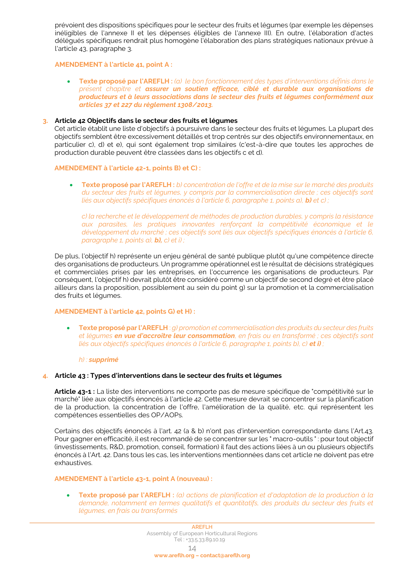prévoient des dispositions spécifiques pour le secteur des fruits et légumes (par exemple les dépenses inéligibles de l'annexe II et les dépenses éligibles de l'annexe III). En outre, l'élaboration d'actes délégués spécifiques rendrait plus homogène l'élaboration des plans stratégiques nationaux prévue à l'article 43, paragraphe 3.

## **AMENDEMENT à l'article 41, point A :**

• **Texte proposé par l'AREFLH :** *(a) le bon fonctionnement des types d'interventions définis dans le présent chapitre et assurer un soutien efficace, ciblé et durable aux organisations de producteurs et à leurs associations dans le secteur des fruits et légumes conformément aux articles 37 et 227 du règlement 1308/2013.*

## **3. Article 42 Objectifs dans le secteur des fruits et légumes**

Cet article établit une liste d'objectifs à poursuivre dans le secteur des fruits et légumes. La plupart des objectifs semblent être excessivement détaillés et trop centrés sur des objectifs environnementaux, en particulier c), d) et e), qui sont également trop similaires (c'est-à-dire que toutes les approches de production durable peuvent être classées dans les objectifs c et d).

#### **AMENDEMENT à l'article 42-1, points B) et C) :**

• **Texte proposé par l'AREFLH :** *b) concentration de l'offre et de la mise sur le marché des produits du secteur des fruits et légumes, y compris par la commercialisation directe ; ces objectifs sont*  liés aux objectifs spécifiques énoncés à l'article 6, paragraphe 1, points a), **b)** et c) ;

*c) la recherche et le développement de méthodes de production durables, y compris la résistance aux parasites, les pratiques innovantes renforçant la compétitivité économique et le développement du marché ; ces objectifs sont liés aux objectifs spécifiques énoncés à l'article 6, paragraphe 1, points a), b), c) et i) ;*

De plus, l'objectif h) représente un enjeu général de santé publique plutôt qu'une compétence directe des organisations de producteurs. Un programme opérationnel est le résultat de décisions stratégiques et commerciales prises par les entreprises, en l'occurrence les organisations de producteurs. Par conséquent, l'objectif h) devrait plutôt être considéré comme un objectif de second degré et être placé ailleurs dans la proposition, possiblement au sein du point g) sur la promotion et la commercialisation des fruits et légumes.

#### **AMENDEMENT à l'article 42, points G) et H) :**

• **Texte proposé par l'AREFLH** : *g) promotion et commercialisation des produits du secteur des fruits et légumes en vue d'accroître leur consommation, en frais ou en transformé ; ces objectifs sont liés aux objectifs spécifiques énoncés à l'article 6, paragraphe 1, points b), c) et i)*;

#### *h) : supprimé*

#### **4. Article 43 : Types d'interventions dans le secteur des fruits et légumes**

**Article 43-1 :** La liste des interventions ne comporte pas de mesure spécifique de "compétitivité sur le marché" liée aux objectifs énoncés à l'article 42. Cette mesure devrait se concentrer sur la planification de la production, la concentration de l'offre, l'amélioration de la qualité, etc. qui représentent les compétences essentielles des OP/AOPs.

Certains des objectifs énoncés à l'art. 42 (a & b) n'ont pas d'intervention correspondante dans l'Art.43. Pour gagner en efficacité, il est recommandé de se concentrer sur les " macro-outils " : pour tout objectif (investissements, R&D, promotion, conseil, formation) il faut des actions liées à un ou plusieurs objectifs énoncés à l'Art. 42. Dans tous les cas, les interventions mentionnées dans cet article ne doivent pas etre exhaustives.

#### **AMENDEMENT à l'article 43-1, point A (nouveau) :**

• **Texte proposé par l'AREFLH :** *(a) actions de planification et d'adaptation de la production à la*  demande, notamment en termes qualitatifs et quantitatifs, des produits du secteur des fruits et *légumes, en frais ou transformés*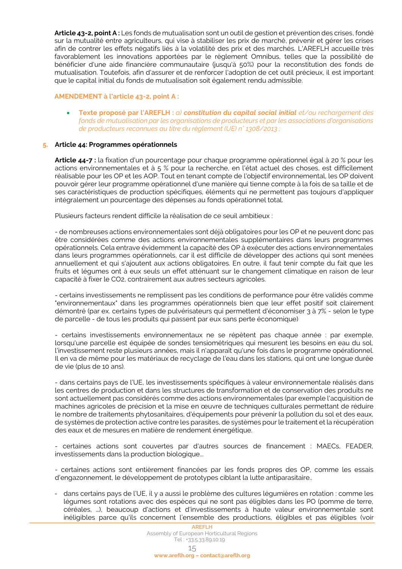**Article 43-2, point A :** Les fonds de mutualisation sont un outil de gestion et prévention des crises, fondé sur la mutualité entre agriculteurs, qui vise à stabiliser les prix de marché, prévenir et gérer les crises afin de contrer les effets négatifs liés à la volatilité des prix et des marchés. L'AREFLH accueille très favorablement les innovations apportées par le règlement Omnibus, telles que la possibilité de bénéficier d'une aide financière communautaire (jusqu'à 50%) pour la reconstitution des fonds de mutualisation. Toutefois, afin d'assurer et de renforcer l'adoption de cet outil précieux, il est important que le capital initial du fonds de mutualisation soit également rendu admissible.

## **AMENDEMENT à l'article 43-2, point A :**

• **Texte proposé par l'AREFLH :** *a) constitution du capital social initial et/ou rechargement des fonds de mutualisation par les organisations de producteurs et par les associations d'organisations de producteurs reconnues au titre du règlement (UE) n° 1308/2013 ;*

## **5. Article 44: Programmes opérationnels**

**Article 44-7 :** la fixation d'un pourcentage pour chaque programme opérationnel égal à 20 % pour les actions environnementales et à 5 % pour la recherche, en l'état actuel des choses, est difficilement réalisable pour les OP et les AOP. Tout en tenant compte de l'objectif environnemental, les OP doivent pouvoir gérer leur programme opérationnel d'une manière qui tienne compte à la fois de sa taille et de ses caractéristiques de production spécifiques, éléments qui ne permettent pas toujours d'appliquer intégralement un pourcentage des dépenses au fonds opérationnel total.

Plusieurs facteurs rendent difficile la réalisation de ce seuil ambitieux :

- de nombreuses actions environnementales sont déjà obligatoires pour les OP et ne peuvent donc pas être considérées comme des actions environnementales supplémentaires dans leurs programmes opérationnels. Cela entrave évidemment la capacité des OP à exécuter des actions environnementales dans leurs programmes opérationnels, car il est difficile de développer des actions qui sont menées annuellement et qui s'ajoutent aux actions obligatoires. En outre, il faut tenir compte du fait que les fruits et légumes ont à eux seuls un effet atténuant sur le changement climatique en raison de leur capacité à fixer le CO2, contrairement aux autres secteurs agricoles.

- certains investissements ne remplissent pas les conditions de performance pour être validés comme "environnementaux" dans les programmes opérationnels bien que leur effet positif soit clairement démontré (par ex. certains types de pulvérisateurs qui permettent d'économiser 3 à 7% - selon le type de parcelle - de tous les produits qui passent par eux sans perte économique)

- certains investissements environnementaux ne se répètent pas chaque année : par exemple, lorsqu'une parcelle est équipée de sondes tensiométriques qui mesurent les besoins en eau du sol, l'investissement reste plusieurs années, mais il n'apparaît qu'une fois dans le programme opérationnel. Il en va de même pour les matériaux de recyclage de l'eau dans les stations, qui ont une longue durée de vie (plus de 10 ans).

- dans certains pays de l'UE, les investissements spécifiques à valeur environnementale réalisés dans les centres de production et dans les structures de transformation et de conservation des produits ne sont actuellement pas considérés comme des actions environnementales (par exemple l'acquisition de machines agricoles de précision et la mise en œuvre de techniques culturales permettant de réduire le nombre de traitements phytosanitaires, d'équipements pour prévenir la pollution du sol et des eaux, de systèmes de protection active contre les parasites, de systèmes pour le traitement et la récupération des eaux et de mesures en matière de rendement énergétique.

- certaines actions sont couvertes par d'autres sources de financement : MAECs, FEADER, investissements dans la production biologique...

- certaines actions sont entièrement financées par les fonds propres des OP, comme les essais d'engazonnement, le développement de prototypes ciblant la lutte antiparasitaire..

- dans certains pays de l'UE, il y a aussi le problème des cultures légumières en rotation : comme les légumes sont rotations avec des espèces qui ne sont pas éligibles dans les PO (pomme de terre, céréales, …), beaucoup d'actions et d'investissements à haute valeur environnementale sont inéligibles parce qu'ils concernent l'ensemble des productions, éligibles et pas éligibles (voir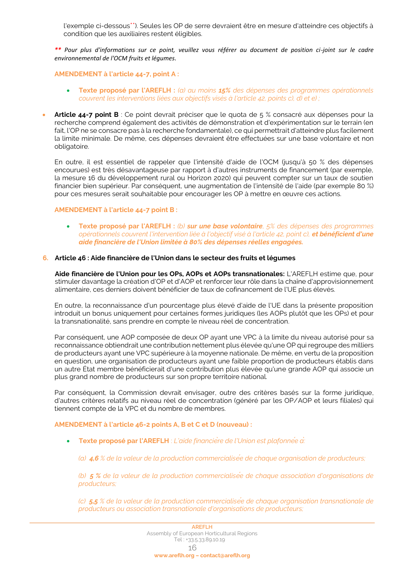l'exemple ci-dessous\*\*). Seules les OP de serre devraient être en mesure d'atteindre ces objectifs à condition que les auxiliaires restent éligibles.

*\*\* Pour plus d'informations sur ce point, veuillez vous référer au document de position ci-joint sur le cadre environnemental de l'OCM fruits et légumes.*

**AMENDEMENT à l'article 44-7, point A :**

- **Texte proposé par l'AREFLH :** *(a) au moins 15% des dépenses des programmes opérationnels couvrent les interventions liées aux objectifs visés à l'article 42, points c), d) et e) ;*
- **Article 44-7 point B** : Ce point devrait préciser que le quota de 5 % consacré aux dépenses pour la recherche comprend également des activités de démonstration et d'expérimentation sur le terrain (en fait, l'OP ne se consacre pas à la recherche fondamentale), ce qui permettrait d'atteindre plus facilement la limite minimale. De même, ces dépenses devraient être effectuées sur une base volontaire et non obligatoire.

En outre, il est essentiel de rappeler que l'intensité d'aide de l'OCM (jusqu'à 50 % des dépenses encourues) est très désavantageuse par rapport à d'autres instruments de financement (par exemple, la mesure 16 du développement rural ou Horizon 2020) qui peuvent compter sur un taux de soutien financier bien supérieur. Par conséquent, une augmentation de l'intensité de l'aide (par exemple 80 %) pour ces mesures serait souhaitable pour encourager les OP à mettre en œuvre ces actions.

## **AMENDEMENT à l'article 44-7 point B :**

• **Texte proposé par l'AREFLH :** *(b) sur une base volontaire, 5% des dépenses des programmes opérationnels couvrent l'intervention liée à l'objectif visé à l'article 42, point c), et bénéficient d'une aide financière de l'Union limitée à 80% des dépenses réelles engagées.*

## **6. Article 46 : Aide financière de l'Union dans le secteur des fruits et légumes**

**Aide financière de l'Union pour les OPs, AOPs et AOPs transnationales:** L'AREFLH estime que, pour stimuler davantage la création d'OP et d'AOP et renforcer leur rôle dans la chaîne d'approvisionnement alimentaire, ces derniers doivent bénéficier de taux de cofinancement de l'UE plus élevés.

En outre, la reconnaissance d'un pourcentage plus élevé d'aide de l'UE dans la présente proposition introduit un bonus uniquement pour certaines formes juridiques (les AOPs plutôt que les OPs) et pour la transnationalité, sans prendre en compte le niveau réel de concentration.

Par conséquent, une AOP composée de deux OP ayant une VPC à la limite du niveau autorisé pour sa reconnaissance obtiendrait une contribution nettement plus élevée qu'une OP qui regroupe des milliers de producteurs ayant une VPC supérieure à la moyenne nationale. De même, en vertu de la proposition en question, une organisation de producteurs ayant une faible proportion de producteurs établis dans un autre État membre bénéficierait d'une contribution plus élevée qu'une grande AOP qui associe un plus grand nombre de producteurs sur son propre territoire national.

Par conséquent, la Commission devrait envisager, outre des critères basés sur la forme juridique, d'autres critères relatifs au niveau réel de concentration (généré par les OP/AOP et leurs filiales) qui tiennent compte de la VPC et du nombre de membres.

## **AMENDEMENT à l'article 46-2 points A, B et C et D (nouveau) :**

- Texte proposé par l'AREFLH : *L'aide financière de l'Union est plafonnée à*<sup>*:*</sup>
	- *(a) 4,6 % de la valeur de la production commercialisée de chaque organisation de producteurs;*

*(b) 5 % de la valeur de la production commercialisée de chaque association d'organisations de producteurs;* 

*(c) 5,5 % de la valeur de la production commercialisée de chaque organisation transnationale de producteurs ou association transnationale d'organisations de producteurs;*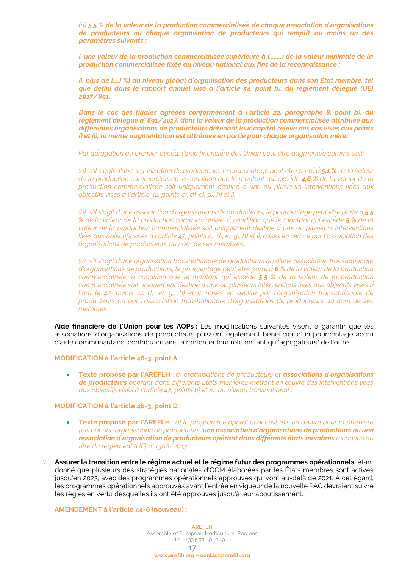*(d) 5,5 % de la valeur de la production commercialisée de chaque association d'organisations de producteurs ou chaque organisation de producteurs qui remplit au moins un des paramètres suivants :*

*i. une valeur de la production commercialisée supérieure à (........) de la valeur minimale de la production commercialisée fixée au niveau national aux fins de la reconnaissance ;*

*ii. plus de [....] %] du niveau global d'organisation des producteurs dans son État membre, tel que défini dans le rapport annuel visé à l'article 54, point b), du règlement délégué (UE) 2017/891.*

*Dans le cas des filiales agréées conformément à l'article 22, paragraphe 8, point b), du règlement délégué n° 891/2017, dont la valeur de la production commercialisée attribuée aux différentes organisations de producteurs détenant leur capital relève des cas visés aux points i) et ii), la même augmentation est attribuée en partie pour chaque organisation mère.*

*Par dérogation au premier alinéa, l'aide financière de l'Union peut être augmentée comme suit:* 

*(a) s'il s'agit d'une organisation de producteurs, le pourcentage peut être portéà5,1 % de la valeur de la production commercialisée, à condition que le montant qui excède 4,6 % de la valeur de la production commercialisée soit uniquement destiné à une ou plusieurs interventions liées aux objectifs visés àl'article 42, points c), d), e), g), h) et i);* 

*(b) s'il s'agit d'une association d'organisations de producteurs, le pourcentage peut être portéà5,5 % de la valeur de la production commercialisée, àcondition que le montant qui excède 5 % de la valeur de la production commercialisée soit uniquement destinéà une ou plusieurs interventions liées aux objectifs visés àl'article 42, points c), d), e), g), h) et i), mises en œuvre par l'association des organisations de producteurs au nom de ses membres;* 

*(c) s'il s'agit d'une organisation transnationale de producteurs ou d'une association transnationale d'organisations de producteurs, le pourcentage peut être portéà6 % de la valeur de la production commercialisée, à condition que le montant qui excède 5,5 % de la valeur de la production commercialisée soit uniquement destinéàune ou plusieurs interventions liées aux objectifs visés à l'article 42, points c), d), e), g), h) et i), mises en œuvre par l'organisation transnationale de producteurs ou par l'association transnationale d'organisations de producteurs au nom de ses membres.* 

**Aide financière de l'Union pour les AOPs :** Les modifications suivantes visent à garantir que les associations d'organisations de producteurs puissent également bénéficier d'un pourcentage accru d'aide communautaire, contribuant ainsi à renforcer leur rôle en tant qu'"agrégateurs" de l'offre.

**MODIFICATION à l'article 46-3, point A :**

• **Texte proposé par l'AREFLH** : *a) organisations de producteurs et associations d'organisations de producteurs opérant dans différents États membres mettant en œuvre des interventions liées aux objectifs visés à l'article 42, points b) et e), au niveau transnational ;*

#### **MODIFICATION à l'article 46-3, point D :**

- **Texte proposé par l'AREFLH** : *d) le programme opérationnel est mis en œuvre pour la première fois par une organisation de producteurs, une association d'organisations de producteurs ou une association d'organisation de producteurs opérant dans différents états membres reconnue au titre du règlement (UE) n° 1308/2013*
- 7. **Assurer la transition entre le régime actuel et le régime futur des programmes opérationnels**, étant donné que plusieurs des stratégies nationales d'OCM élaborées par les États membres sont actives jusqu'en 2023, avec des programmes opérationnels approuvés qui vont au-delà de 2021. A cet égard, les programmes opérationnels approuvés avant l'entrée en vigueur de la nouvelle PAC devraient suivre les règles en vertu desquelles ils ont été approuvés jusqu'à leur aboutissement.

#### **AMENDEMENT à l'article 44-8 (nouveau) :**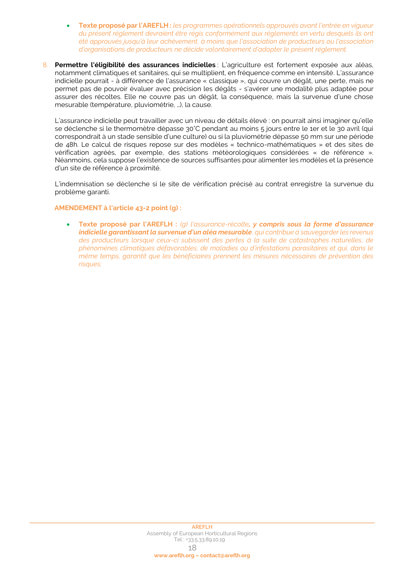- **Texte proposé par l'AREFLH :** *les programmes opérationnels approuvés avant l'entrée en vigueur du présent règlement devraient être régis conformément aux règlements en vertu desquels ils ont été approuvés jusqu'à leur achèvement, à moins que l'association de producteurs ou l'association d'organisations de producteurs ne décide volontairement d'adopter le présent règlement.*
- 8. **Permettre l'éligibilité des assurances indicielles** : L'agriculture est fortement exposée aux aléas, notamment climatiques et sanitaires, qui se multiplient, en fréquence comme en intensité. L'assurance indicielle pourrait - à différence de l'assurance « classique », qui couvre un dégât, une perte, mais ne permet pas de pouvoir évaluer avec précision les dégâts - s'avérer une modalité plus adaptée pour assurer des récoltes. Elle ne couvre pas un dégât, la conséquence, mais la survenue d'une chose mesurable (température, pluviométrie, …), la cause.

L'assurance indicielle peut travailler avec un niveau de détails élevé : on pourrait ainsi imaginer qu'elle se déclenche si le thermomètre dépasse 30°C pendant au moins 5 jours entre le 1er et le 30 avril (qui correspondrait à un stade sensible d'une culture) ou si la pluviométrie dépasse 50 mm sur une période de 48h. Le calcul de risques repose sur des modèles « technico-mathématiques » et des sites de vérification agréés, par exemple, des stations météorologiques considérées « de référence ». Néanmoins, cela suppose l'existence de sources suffisantes pour alimenter les modèles et la présence d'un site de référence à proximité.

L'indemnisation se déclenche si le site de vérification précisé au contrat enregistre la survenue du problème garanti.

## **AMENDEMENT à l'article 43-2 point (g) :**

• **Texte proposé par l'AREFLH :** *(g) l'assurance-récolte, y compris sous la forme d'assurance indicielle garantissant la survenue d'un aléa mesurable, qui contribue à sauvegarder les revenus des producteurs lorsque ceux-ci subissent des pertes à la suite de catastrophes naturelles, de phénomènes climatiques défavorables, de maladies ou d'infestations parasitaires et qui, dans le même temps, garantit que les bénéficiaires prennent les mesures nécessaires de prévention des risques;*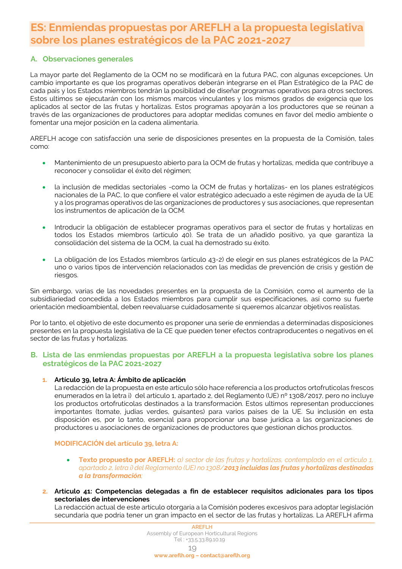# <span id="page-18-0"></span>**ES: Enmiendas propuestas por AREFLH a la propuesta legislativa sobre los planes estratégicos de la PAC 2021-2027**

## **A. Observaciones generales**

La mayor parte del Reglamento de la OCM no se modificará en la futura PAC, con algunas excepciones. Un cambio importante es que los programas operativos deberán integrarse en el Plan Estratégico de la PAC de cada país y los Estados miembros tendrán la posibilidad de diseñar programas operativos para otros sectores. Estos ultimos se ejecutarán con los mismos marcos vinculantes y los mismos grados de exigencia que los aplicados al sector de las frutas y hortalizas. Estos programas apoyarán a los productores que se reúnan a través de las organizaciones de productores para adoptar medidas comunes en favor del medio ambiente o fomentar una mejor posición en la cadena alimentaria.

AREFLH acoge con satisfacción una serie de disposiciones presentes en la propuesta de la Comisión, tales como:

- Mantenimiento de un presupuesto abierto para la OCM de frutas y hortalizas, medida que contribuye a reconocer y consolidar el éxito del régimen;
- la inclusión de medidas sectoriales -como la OCM de frutas y hortalizas- en los planes estratégicos nacionales de la PAC, lo que confiere el valor estratégico adecuado a este régimen de ayuda de la UE y a los programas operativos de las organizaciones de productores y sus asociaciones, que representan los instrumentos de aplicación de la OCM.
- Introducir la obligación de establecer programas operativos para el sector de frutas y hortalizas en todos los Estados miembros (artículo 40). Se trata de un añadido positivo, ya que garantiza la consolidación del sistema de la OCM, la cual ha demostrado su éxito.
- La obligación de los Estados miembros (artículo 43-2) de elegir en sus planes estratégicos de la PAC uno o varios tipos de intervención relacionados con las medidas de prevención de crisis y gestión de riesgos.

Sin embargo, varias de las novedades presentes en la propuesta de la Comisión, como el aumento de la subsidiariedad concedida a los Estados miembros para cumplir sus especificaciones, así como su fuerte orientación medioambiental, deben reevaluarse cuidadosamente si queremos alcanzar objetivos realistas.

Por lo tanto, el objetivo de este documento es proponer una serie de enmiendas a determinadas disposiciones presentes en la propuesta legislativa de la CE que pueden tener efectos contraproducentes o negativos en el sector de las frutas y hortalizas.

## **B. Lista de las enmiendas propuestas por AREFLH a la propuesta legislativa sobre los planes estratégicos de la PAC 2021-2027**

## **1. Artículo 39, letra A: Ámbito de aplicación**

La redacción de la propuesta en este artículo sólo hace referencia a los productos ortofruticolas frescos enumerados en la letra i) del artículo 1, apartado 2, del Reglamento (UE) nº 1308/2017, pero no incluye los productos ortofruticolas destinados a la transformación. Estos ultimos representan producciones importantes (tomate, judías verdes, guisantes) para varios países de la UE. Su inclusión en esta disposición es, por lo tanto, esencial para proporcionar una base jurídica a las organizaciones de productores u asociaciones de organizaciones de productores que gestionan dichos productos.

## **MODIFICACIÓN del artículo 39, letra A:**

- **Texto propuesto por AREFLH:** *a) sector de las frutas y hortalizas, contemplado en el artículo 1, apartado 2, letra i) del Reglamento (UE) no 1308/2013 incluidas las frutas y hortalizas destinadas a la transformación;*
- **2. Artículo 41: Competencias delegadas a fin de establecer requisitos adicionales para los tipos sectoriales de intervenciones**

La redacción actual de este artículo otorgaría a la Comisión poderes excesivos para adoptar legislación secundaria que podría tener un gran impacto en el sector de las frutas y hortalizas. La AREFLH afirma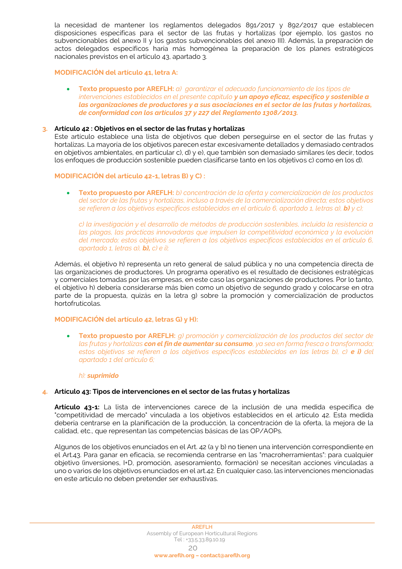la necesidad de mantener los reglamentos delegados 891/2017 y 892/2017 que establecen disposiciones específicas para el sector de las frutas y hortalizas (por ejemplo, los gastos no subvencionables del anexo II y los gastos subvencionables del anexo III). Además, la preparación de actos delegados específicos haría más homogénea la preparación de los planes estratégicos nacionales previstos en el artículo 43, apartado 3.

## **MODIFICACIÓN del artículo 41, letra A:**

#### • **Texto propuesto por AREFLH:** *a) garantizar el adecuado funcionamiento de los tipos de intervenciones establecidos en el presente capitulo y un apoyo eficaz, específico y sostenible a las organizaciones de productores y a sus asociaciones en el sector de las frutas y hortalizas, de conformidad con los artículos 37 y 227 del Reglamento 1308/2013.*

#### **3. Artículo 42 : Objetivos en el sector de las frutas y hortalizas**

Este artículo establece una lista de objetivos que deben perseguirse en el sector de las frutas y hortalizas. La mayoría de los objetivos parecen estar excesivamente detallados y demasiado centrados en objetivos ambientales, en particular c), d) y e), que también son demasiado similares (es decir, todos los enfoques de producción sostenible pueden clasificarse tanto en los objetivos c) como en los d).

## **MODIFICACIÓN del artículo 42-1, letras B) y C) :**

• **Texto propuesto por AREFLH:** *b) concentración de la oferta y comercialización de los productos del sector de las frutas y hortalizas, incluso a través de la comercialización directa; estos objetivos se refieren a los objetivos específicos establecidos en el artículo 6, apartado 1, letras a), b) y c);*

*c) la investigación y el desarrollo de métodos de producción sostenibles, incluida la resistencia a las plagas, las prácticas innovadoras que impulsen la competitividad económica y la evolución del mercado; estos objetivos se refieren a los objetivos específicos establecidos en el artículo 6, apartado 1, letras a), b), c) e i);*

Además, el objetivo h) representa un reto general de salud pública y no una competencia directa de las organizaciones de productores. Un programa operativo es el resultado de decisiones estratégicas y comerciales tomadas por las empresas, en este caso las organizaciones de productores. Por lo tanto, el objetivo h) debería considerarse más bien como un objetivo de segundo grado y colocarse en otra parte de la propuesta, quizás en la letra g) sobre la promoción y comercialización de productos hortofrutícolas.

#### **MODIFICACIÓN del artículo 42, letras G) y H):**

• **Texto propuesto por AREFLH:** *g) promoción y comercialización de los productos del sector de las frutas y hortalizas con el fin de aumentar su consumo, ya sea en forma fresca o transformada; estos objetivos se refieren a los objetivos específicos establecidos en las letras b), c) e i) del apartado 1 del artículo 6;*

#### *h): suprimido*

#### **4. Artículo 43: Tipos de intervenciones en el sector de las frutas y hortalizas**

**Artículo 43-1:** La lista de intervenciones carece de la inclusión de una medida específica de "competitividad de mercado" vinculada a los objetivos establecidos en el artículo 42. Esta medida debería centrarse en la planificación de la producción, la concentración de la oferta, la mejora de la calidad, etc., que representan las competencias básicas de las OP/AOPs.

Algunos de los objetivos enunciados en el Art. 42 (a y b) no tienen una intervención correspondiente en el Art.43. Para ganar en eficacia, se recomienda centrarse en las "macroherramientas": para cualquier objetivo (inversiones, I+D, promoción, asesoramiento, formación) se necesitan acciones vinculadas a uno o varios de los objetivos enunciados en el art.42. En cualquier caso, las intervenciones mencionadas en este artículo no deben pretender ser exhaustivas.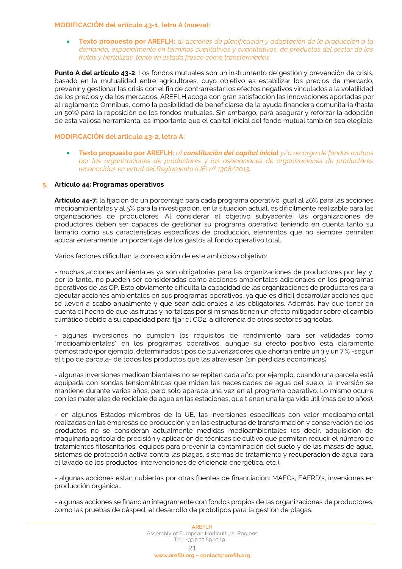## **MODIFICACIÓN del artículo 43-1, letra A (nueva):**

• **Texto propuesto por AREFLH:** *a) acciones de planificación y adaptación de la producción a la demanda, especialmente en términos cualitativos y cuantitativos, de productos del sector de las frutas y hortalizas, tanto en estado fresco como transformados*

**Punto A del artículo 43-2**: Los fondos mutuales son un instrumento de gestión y prevención de crisis, basado en la mutualidad entre agricultores, cuyo objetivo es estabilizar los precios de mercado, prevenir y gestionar las crisis con el fin de contrarrestar los efectos negativos vinculados a la volatilidad de los precios y de los mercados. AREFLH acoge con gran satisfacción las innovaciones aportadas por el reglamento Omnibus, como la posibilidad de beneficiarse de la ayuda financiera comunitaria (hasta un 50%) para la reposición de los fondos mutuales. Sin embargo, para asegurar y reforzar la adopción de esta valiosa herramienta, es importante que el capital inicial del fondo mutual también sea elegible.

## **MODIFICACIÓN del artículo 43-2, letra A:**

• **Texto propuesto por AREFLH:** *a) constitución del capital inicial y/o recarga de fondos mutuos por las organizaciones de productores y las asociaciones de organizaciones de productores reconocidas en virtud del Reglamento (UE) nº 1308/2013;*

## **5. Artículo 44: Programas operativos**

**Artículo 44-7:** la fijación de un porcentaje para cada programa operativo igual al 20% para las acciones medioambientales y al 5% para la investigación, en la situación actual, es difícilmente realizable para las organizaciones de productores. Al considerar el objetivo subyacente, las organizaciones de productores deben ser capaces de gestionar su programa operativo teniendo en cuenta tanto su tamaño como sus características específicas de producción, elementos que no siempre permiten aplicar enteramente un porcentaje de los gastos al fondo operativo total.

Varios factores dificultan la consecución de este ambicioso objetivo:

- muchas acciones ambientales ya son obligatorias para las organizaciones de productores por ley y, por lo tanto, no pueden ser consideradas como acciones ambientales adicionales en los programas operativos de las OP. Esto obviamente dificulta la capacidad de las organizaciones de productores para ejecutar acciones ambientales en sus programas operativos, ya que es difícil desarrollar acciones que se lleven a scabo anualmente y que sean adicionales a las obligatorias. Además, hay que tener en cuenta el hecho de que las frutas y hortalizas por sí mismas tienen un efecto mitigador sobre el cambio climático debido a su capacidad para fijar el CO2, a diferencia de otros sectores agrícolas.

- algunas inversiones no cumplen los requisitos de rendimiento para ser validadas como "medioambientales" en los programas operativos, aunque su efecto positivo está claramente demostrado (por ejemplo, determinados tipos de pulverizadores que ahorran entre un 3 y un 7 % -según el tipo de parcela- de todos los productos que las atraviesan (sin pérdidas económicas)

- algunas inversiones medioambientales no se repiten cada año: por ejemplo, cuando una parcela está equipada con sondas tensiométricas que miden las necesidades de agua del suelo, la inversión se mantiene durante varios años, pero sólo aparece una vez en el programa operativo. Lo mismo ocurre con los materiales de reciclaje de agua en las estaciones, que tienen una larga vida útil (más de 10 años).

- en algunos Estados miembros de la UE, las inversiones específicas con valor medioambiental realizadas en las empresas de producción y en las estructuras de transformación y conservación de los productos no se consideran actualmente medidas medioambientales (es decir, adquisición de maquinaria agrícola de precisión y aplicación de técnicas de cultivo que permitan reducir el número de tratamientos fitosanitarios, equipos para prevenir la contaminación del suelo y de las masas de agua, sistemas de protección activa contra las plagas, sistemas de tratamiento y recuperación de agua para el lavado de los productos, intervenciones de eficiencia energética, etc.).

- algunas acciones están cubiertas por otras fuentes de financiación: MAECs, EAFRD's, inversiones en producción orgánica..

- algunas acciones se financian íntegramente con fondos propios de las organizaciones de productores, como las pruebas de césped, el desarrollo de prototipos para la gestión de plagas..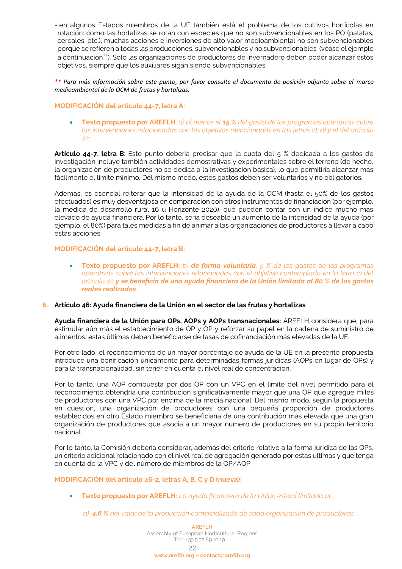- en algunos Estados miembros de la UE también está el problema de los cultivos hortícolas en rotación: como las hortalizas se rotan con especies que no son subvencionables en los PO (patatas, cereales, etc.), muchas acciones e inversiones de alto valor medioambiental no son subvencionables porque se refieren a todas las producciones, subvencionables y no subvencionables (véase el ejemplo a continuación\*\*). Sólo las organizaciones de productores de invernadero deben poder alcanzar estos objetivos, siempre que los auxiliares sigan siendo subvencionables.

*\*\* Para más información sobre este punto, por favor consulte el documento de posición adjunto sobre el marco medioambiental de la OCM de frutas y hortalizas.*

## **MODIFICACIÓN del artículo 44-7, letra A:**

• **Texto propuesto por AREFLH**: *a) al menos el 15 % del gasto de los programas operativos cubre las intervenciones relacionadas con los objetivos mencionados en las letras c), d) y e) del artículo 42;*

**Artículo 44-7, letra B**: Este punto debería precisar que la cuota del 5 % dedicada a los gastos de investigación incluye también actividades demostrativas y experimentales sobre el terreno (de hecho, la organización de productores no se dedica a la investigación básica), lo que permitiría alcanzar más fácilmente el límite mínimo. Del mismo modo, estos gastos deben ser voluntarios y no obligatorios.

Además, es esencial reiterar que la intensidad de la ayuda de la OCM (hasta el 50% de los gastos efectuados) es muy desventajosa en comparación con otros instrumentos de financiación (por ejemplo, la medida de desarrollo rural 16 u Horizonte 2020), que pueden contar con un índice mucho más elevado de ayuda financiera. Por lo tanto, sería deseable un aumento de la intensidad de la ayuda (por ejemplo, el 80%) para tales medidas a fin de animar a las organizaciones de productores a llevar a cabo estas acciones.

## **MODIFICACIÓN del artículo 44-7, letra B:**

• **Texto propuesto por AREFLH:** *b) de forma voluntaria, 5 % de los gastos de los programas operativos cubre las intervenciones relacionadas con el objetivo contemplado en la letra c) del artículo 42 y se beneficia de una ayuda financiera de la Unión limitada al 80 % de los gastos reales realizados.*

#### **6. Artículo 46: Ayuda financiera de la Unión en el sector de las frutas y hortalizas**

**Ayuda financiera de la Unión para OPs, AOPs y AOPs transnacionales:** AREFLH considera que, para estimular aún más el establecimiento de OP y OP y reforzar su papel en la cadena de suministro de alimentos, estas últimas deben beneficiarse de tasas de cofinanciación más elevadas de la UE.

Por otro lado, el reconocimiento de un mayor porcentaje de ayuda de la UE en la presente propuesta introduce una bonificación únicamente para determinadas formas jurídicas (AOPs en lugar de OPs) y para la transnacionalidad, sin tener en cuenta el nivel real de concentracion.

Por lo tanto, una AOP compuesta por dos OP con un VPC en el límite del nivel permitido para el reconocimiento obtendría una contribución significativamente mayor que una OP que agregue miles de productores con una VPC por encima de la media nacional. Del mismo modo, según la propuesta en cuestión, una organización de productores con una pequeña proporción de productores establecidos en otro Estado miembro se beneficiaría de una contribución más elevada que una gran organización de productores que asocia a un mayor número de productores en su propio territorio nacional.

Por lo tanto, la Comisión debería considerar, además del criterio relativo a la forma jurídica de las OPs, un criterio adicional relacionado con el nivel real de agregación generado por estas ultimas y que tenga en cuenta de la VPC y del número de miembros de la OP/AOP.

#### **MODIFICACIÓN del artículo 46-2, letras A, B, C y D (nueva):**

• **Texto propuesto por AREFLH:** *La ayuda financiera de la Unión estarálimitada al:* 

*a) 4,6 % del valor de la producción comercializada de cada organización de productores;*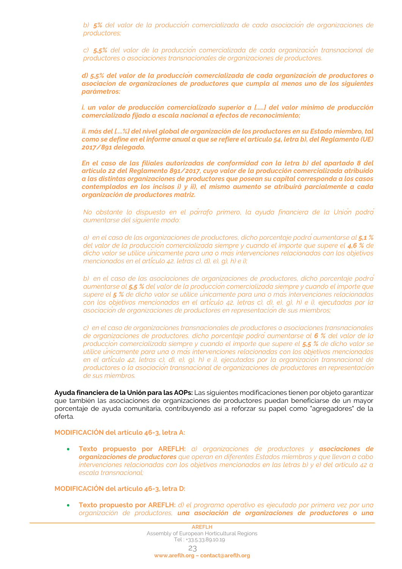*b) 5% del valor de la producción comercializada de cada asociación de organizaciones de productores;* 

*c) 5,5% del valor de la producción comercializada de cada organización transnacional de productores o asociaciones transnacionales de organizaciones de productores.* 

*d) 5,5% del valor de la producción comercializada de cada organización de productores o asociacion de organizaciones de productores que cumpla al menos uno de los siguientes parámetros:*

*i. un valor de producción comercializado superior a [.....] del valor mínimo de producción comercializado fijado a escala nacional a efectos de reconocimiento;*

*ii. más del [....%] del nivel global de organización de los productores en su Estado miembro, tal como se define en el informe anual a que se refiere el artículo 54, letra b), del Reglamento (UE) 2017/891 delegado.*

*En el caso de las filiales autorizadas de conformidad con la letra b) del apartado 8 del artículo 22 del Reglamento 891/2017, cuyo valor de la producción comercializada atribuido a las distintas organizaciones de productores que posean su capital corresponda a los casos contemplados en los incisos i) y ii), el mismo aumento se atribuirá parcialmente a cada organización de productores matriz.*

*No obstante lo dispuesto en el párrafo primero, la ayuda financiera de la Unión podrá aumentarse del siguiente modo:* 

*a) en el caso de las organizaciones de productores, dicho porcentaje podráaumentarse al 5,1 % del valor de la producción comercializada siempre y cuando el importe que supere el 4,6 % de dicho valor se utilice únicamente para una o más intervenciones relacionadas con los objetivos mencionados en el artículo 42, letras c), d), e), g), h) e i);* 

*b) en el caso de las asociaciones de organizaciones de productores, dicho porcentaje podrá aumentarse al 5,5 % del valor de la producción comercializada siempre y cuando el importe que supere el 5 % de dicho valor se utilice únicamente para una o más intervenciones relacionadas con los objetivos mencionados en el artículo 42, letras c), d), e), g), h) e i), ejecutadas por la asociación de organizaciones de productores en representación de sus miembros;* 

*c) en el caso de organizaciones transnacionales de productores o asociaciones transnacionales de organizaciones de productores, dicho porcentaje podrá aumentarse al 6 % del valor de la producción comercializada siempre y cuando el importe que supere el 5,5 % de dicho valor se utilice únicamente para una o más intervenciones relacionadas con los objetivos mencionados en el artículo 42, letras c), d), e), g), h) e i), ejecutadas por la organización transnacional de productores o la asociación transnacional de organizaciones de productores en representación de sus miembros.* 

**Ayuda financiera de la Unión para las AOPs:** Las siguientes modificaciones tienen por objeto garantizar que también las asociaciones de organizaciones de productores puedan beneficiarse de un mayor porcentaje de ayuda comunitaria, contribuyendo así a reforzar su papel como "agregadores" de la oferta.

#### **MODIFICACIÓN del artículo 46-3, letra A:**

• **Texto propuesto por AREFLH:** *a) organizaciones de productores y asociaciones de organizaciones de productores que operan en diferentes Estados miembros y que llevan a cabo intervenciones relacionadas con los objetivos mencionados en las letras b) y e) del artículo 42 a escala transnacional;*

#### **MODIFICACIÓN del artículo 46-3, letra D:**

• **Texto propuesto por AREFLH:** *d) el programa operativo es ejecutado por primera vez por una organización de productores, una asociación de organizaciones de productores o una*